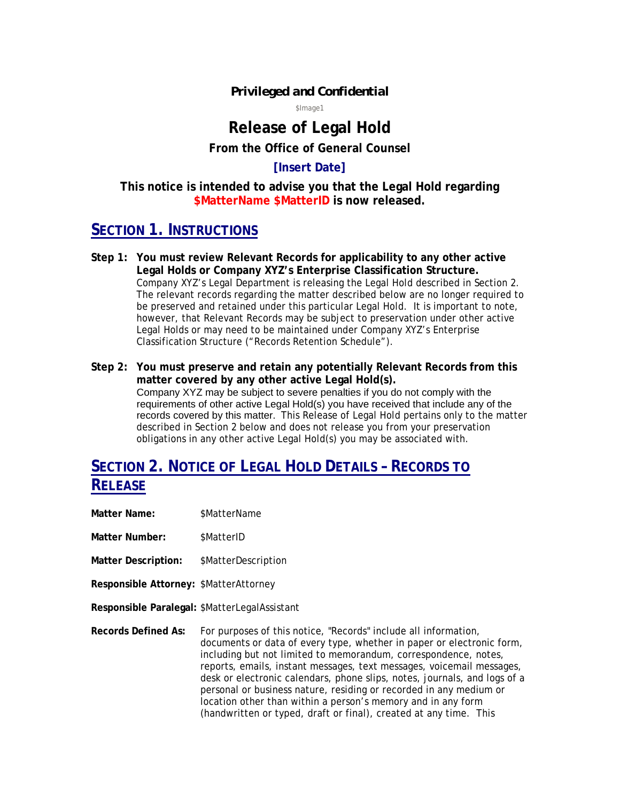#### *Privileged and Confidential*

\$Image1

# **Release of Legal Hold**

**From the Office of General Counsel** 

#### **[Insert Date]**

**This notice is intended to advise you that the Legal Hold regarding \$MatterName \$MatterID is now released.** 

### **SECTION 1. INSTRUCTIONS**

- **Step 1: You must review Relevant Records for applicability to any other active Legal Holds or Company XYZ's Enterprise Classification Structure.**  Company XYZ's Legal Department is releasing the Legal Hold described in Section 2. The relevant records regarding the matter described below are no longer required to be preserved and retained under this particular Legal Hold. It is important to note, however, that Relevant Records may be subject to preservation under other active Legal Holds or may need to be maintained under Company XYZ's Enterprise Classification Structure ("Records Retention Schedule").
- **Step 2: You must preserve and retain any potentially Relevant Records from this matter covered by any other active Legal Hold(s).**  Company XYZ may be subject to severe penalties if you do not comply with the requirements of other active Legal Hold(s) you have received that include any of the records covered by this matter. This Release of Legal Hold pertains only to the matter described in Section 2 below and does not release you from your preservation obligations in any other active Legal Hold(s) you may be associated with.

## **SECTION 2. NOTICE OF LEGAL HOLD DETAILS – RECORDS TO RELEASE**

- **Matter Name:** \$MatterName
- **Matter Number:** \$MatterID
- **Matter Description:** \$MatterDescription
- **Responsible Attorney:** \$MatterAttorney
- **Responsible Paralegal:** \$MatterLegalAssistant
- **Records Defined As:** For purposes of this notice, "Records" include all information, documents or data of every type, whether in paper or electronic form, including but not limited to memorandum, correspondence, notes, reports, emails, instant messages, text messages, voicemail messages, desk or electronic calendars, phone slips, notes, journals, and logs of a personal or business nature, residing or recorded in any medium or location other than within a person's memory and in any form (handwritten or typed, draft or final), created at any time. This